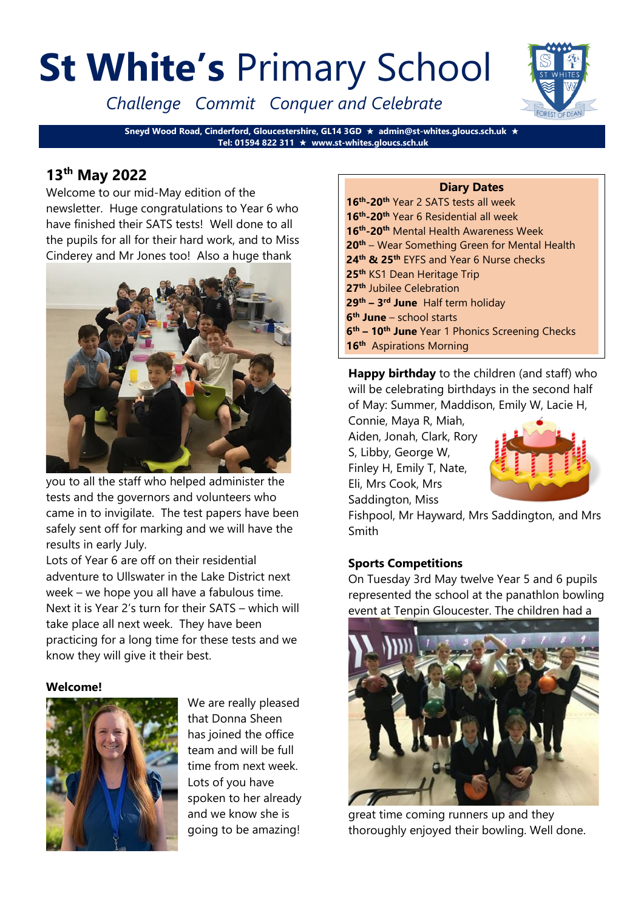# **St White's** Primary School

*Challenge Commit Conquer and Celebrate*



# **13th May 2022**

Welcome to our mid-May edition of the newsletter. Huge congratulations to Year 6 who have finished their SATS tests! Well done to all the pupils for all for their hard work, and to Miss Cinderey and Mr Jones too! Also a huge thank



you to all the staff who helped administer the tests and the governors and volunteers who came in to invigilate. The test papers have been safely sent off for marking and we will have the results in early July.

Lots of Year 6 are off on their residential adventure to Ullswater in the Lake District next week – we hope you all have a fabulous time. Next it is Year 2's turn for their SATS – which will take place all next week. They have been practicing for a long time for these tests and we know they will give it their best.

#### **Welcome!**



We are really pleased that Donna Sheen has joined the office team and will be full time from next week. Lots of you have spoken to her already and we know she is going to be amazing!

#### **Diary Dates**

**th -20th** Year 2 SATS tests all week **th -20th** Year 6 Residential all week **th -20th** Mental Health Awareness Week **th** – Wear Something Green for Mental Health **th & 25th** EYFS and Year 6 Nurse checks **th** KS1 Dean Heritage Trip **th** Jubilee Celebration **th – 3 rd June** Half term holiday **th June** – school starts **th – 10th June** Year 1 Phonics Screening Checks **th** Aspirations Morning

**Happy birthday** to the children (and staff) who will be celebrating birthdays in the second half of May: Summer, Maddison, Emily W, Lacie H,

Connie, Maya R, Miah, Aiden, Jonah, Clark, Rory S, Libby, George W, Finley H, Emily T, Nate, Eli, Mrs Cook, Mrs Saddington, Miss



Fishpool, Mr Hayward, Mrs Saddington, and Mrs Smith

# **Sports Competitions**

On Tuesday 3rd May twelve Year 5 and 6 pupils represented the school at the panathlon bowling event at Tenpin Gloucester. The children had a



great time coming runners up and they thoroughly enjoyed their bowling. Well done.

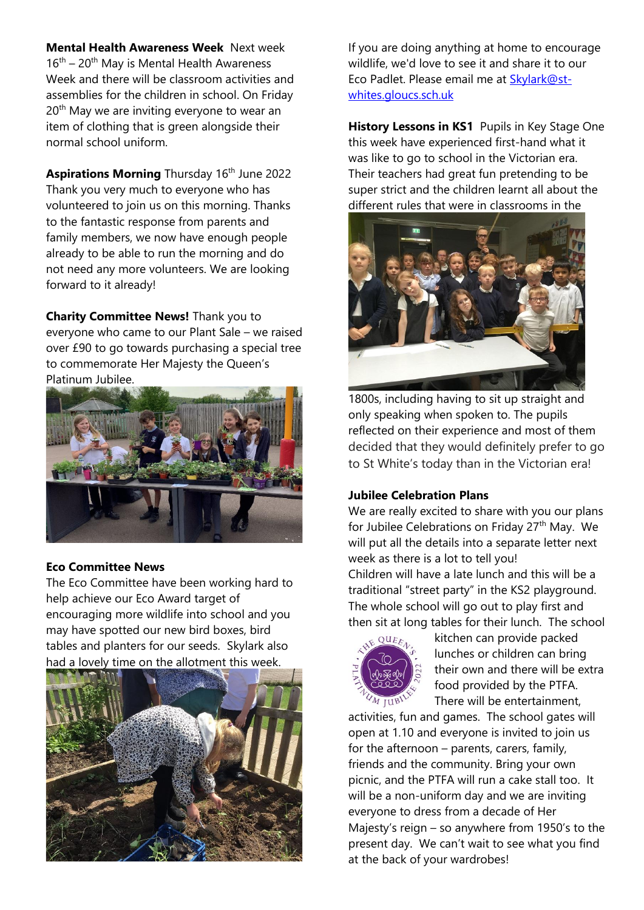**Mental Health Awareness Week** Next week  $16<sup>th</sup> - 20<sup>th</sup>$  May is Mental Health Awareness Week and there will be classroom activities and assemblies for the children in school. On Friday 20<sup>th</sup> May we are inviting everyone to wear an item of clothing that is green alongside their normal school uniform.

**Aspirations Morning Thursday 16th June 2022** Thank you very much to everyone who has volunteered to join us on this morning. Thanks to the fantastic response from parents and family members, we now have enough people already to be able to run the morning and do not need any more volunteers. We are looking forward to it already!

**Charity Committee News!** Thank you to everyone who came to our Plant Sale – we raised over £90 to go towards purchasing a special tree to commemorate Her Majesty the Queen's Platinum Jubilee.



#### **Eco Committee News**

The Eco Committee have been working hard to help achieve our Eco Award target of encouraging more wildlife into school and you may have spotted our new bird boxes, bird tables and planters for our seeds. Skylark also had a lovely time on the allotment this week.



If you are doing anything at home to encourage wildlife, we'd love to see it and share it to our Eco Padlet. Please email me at [Skylark@st](mailto:Skylark@st-whites.gloucs.sch.uk)[whites.gloucs.sch.uk](mailto:Skylark@st-whites.gloucs.sch.uk)

**History Lessons in KS1** Pupils in Key Stage One this week have experienced first-hand what it was like to go to school in the Victorian era. Their teachers had great fun pretending to be super strict and the children learnt all about the different rules that were in classrooms in the



1800s, including having to sit up straight and only speaking when spoken to. The pupils reflected on their experience and most of them decided that they would definitely prefer to go to St White's today than in the Victorian era!

#### **Jubilee Celebration Plans**

We are really excited to share with you our plans for Jubilee Celebrations on Friday 27<sup>th</sup> May. We will put all the details into a separate letter next week as there is a lot to tell you!

Children will have a late lunch and this will be a traditional "street party" in the KS2 playground. The whole school will go out to play first and then sit at long tables for their lunch. The school



kitchen can provide packed lunches or children can bring their own and there will be extra food provided by the PTFA. There will be entertainment,

activities, fun and games. The school gates will open at 1.10 and everyone is invited to join us for the afternoon – parents, carers, family, friends and the community. Bring your own picnic, and the PTFA will run a cake stall too. It will be a non-uniform day and we are inviting everyone to dress from a decade of Her Majesty's reign – so anywhere from 1950's to the present day. We can't wait to see what you find at the back of your wardrobes!